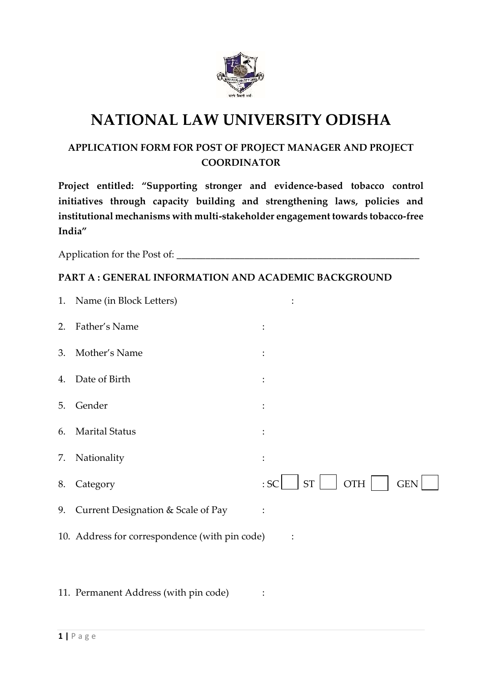

# **NATIONAL LAW UNIVERSITY ODISHA**

## **APPLICATION FORM FOR POST OF PROJECT MANAGER AND PROJECT COORDINATOR**

**Project entitled: "Supporting stronger and evidence-based tobacco control initiatives through capacity building and strengthening laws, policies and institutional mechanisms with multi-stakeholder engagement towards tobacco-free India"**

Application for the Post of: \_\_\_\_\_\_\_\_\_\_\_\_\_\_\_\_\_\_\_\_\_\_\_\_\_\_\_\_\_\_\_\_\_\_\_\_\_\_\_\_\_\_\_\_\_\_\_\_\_\_

### **PART A : GENERAL INFORMATION AND ACADEMIC BACKGROUND**

|    | 1. Name (in Block Letters)                     |                                              |
|----|------------------------------------------------|----------------------------------------------|
| 2. | Father's Name                                  | $\ddot{\cdot}$                               |
| 3. | Mother's Name                                  | :                                            |
| 4. | Date of Birth                                  |                                              |
| 5. | Gender                                         | $\ddot{\cdot}$                               |
| 6. | <b>Marital Status</b>                          | :                                            |
| 7. | Nationality                                    | :                                            |
| 8. | Category                                       | <b>ST</b><br><b>OTH</b><br><b>GEN</b><br>:SC |
| 9. | Current Designation & Scale of Pay             | $\ddot{\cdot}$                               |
|    | 10. Address for correspondence (with pin code) |                                              |
|    |                                                |                                              |

11. Permanent Address (with pin code) :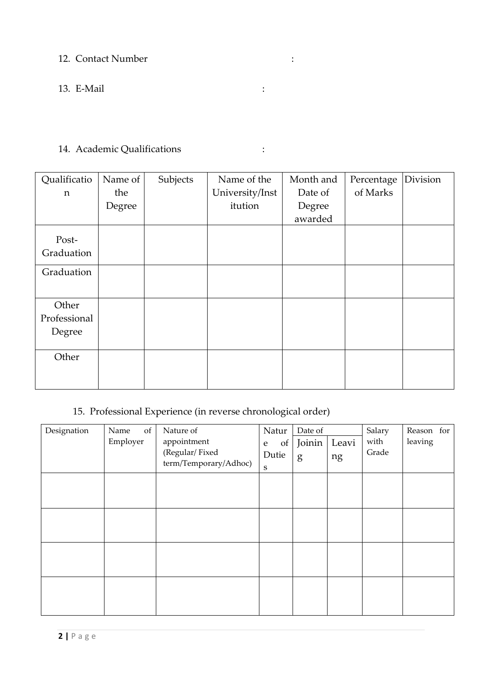## 12. Contact Number :

## 13. E-Mail :

# 14. Academic Qualifications :

| Qualificatio        | Name of | Subjects | Name of the     | Month and | Percentage | Division |
|---------------------|---------|----------|-----------------|-----------|------------|----------|
| n                   | the     |          | University/Inst | Date of   | of Marks   |          |
|                     | Degree  |          | itution         | Degree    |            |          |
|                     |         |          |                 | awarded   |            |          |
| Post-<br>Graduation |         |          |                 |           |            |          |
| Graduation          |         |          |                 |           |            |          |
| Other               |         |          |                 |           |            |          |
| Professional        |         |          |                 |           |            |          |
| Degree              |         |          |                 |           |            |          |
| Other               |         |          |                 |           |            |          |
|                     |         |          |                 |           |            |          |

# 15. Professional Experience (in reverse chronological order)

| Designation | of<br>Name<br>Employer | Nature of<br>appointment<br>(Regular/Fixed<br>term/Temporary/Adhoc) | Natur<br>of<br>${\bf e}$<br>Dutie<br>S | Date of<br>Joinin<br>g | Leavi<br>ng | Salary<br>with<br>Grade | Reason for<br>leaving |
|-------------|------------------------|---------------------------------------------------------------------|----------------------------------------|------------------------|-------------|-------------------------|-----------------------|
|             |                        |                                                                     |                                        |                        |             |                         |                       |
|             |                        |                                                                     |                                        |                        |             |                         |                       |
|             |                        |                                                                     |                                        |                        |             |                         |                       |
|             |                        |                                                                     |                                        |                        |             |                         |                       |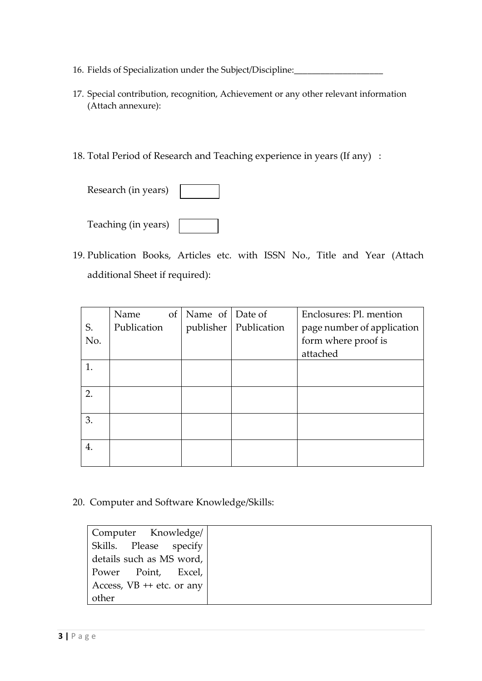- 16. Fields of Specialization under the Subject/Discipline:
- 17. Special contribution, recognition, Achievement or any other relevant information (Attach annexure):
- 18. Total Period of Research and Teaching experience in years (If any) :

| Research (in years) |  |
|---------------------|--|
|---------------------|--|

| Teaching (in years) |  |
|---------------------|--|
|---------------------|--|

19. Publication Books, Articles etc. with ISSN No., Title and Year (Attach additional Sheet if required):

|     | Name        | $\sigma f$ | Name of Date of |                         | Enclosures: Pl. mention    |
|-----|-------------|------------|-----------------|-------------------------|----------------------------|
| S.  | Publication |            |                 | publisher   Publication | page number of application |
| No. |             |            |                 |                         | form where proof is        |
|     |             |            |                 |                         | attached                   |
| 1.  |             |            |                 |                         |                            |
|     |             |            |                 |                         |                            |
| 2.  |             |            |                 |                         |                            |
|     |             |            |                 |                         |                            |
| 3.  |             |            |                 |                         |                            |
|     |             |            |                 |                         |                            |
| 4.  |             |            |                 |                         |                            |
|     |             |            |                 |                         |                            |

20. Computer and Software Knowledge/Skills:

| Computer Knowledge/         |  |
|-----------------------------|--|
| Skills. Please specify      |  |
| details such as MS word,    |  |
| Power Point, Excel,         |  |
| Access, $VB$ ++ etc. or any |  |
| other                       |  |